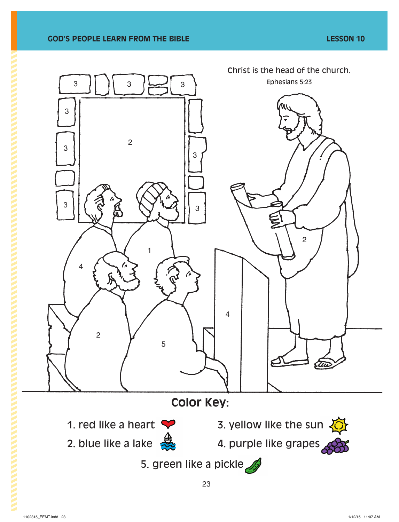